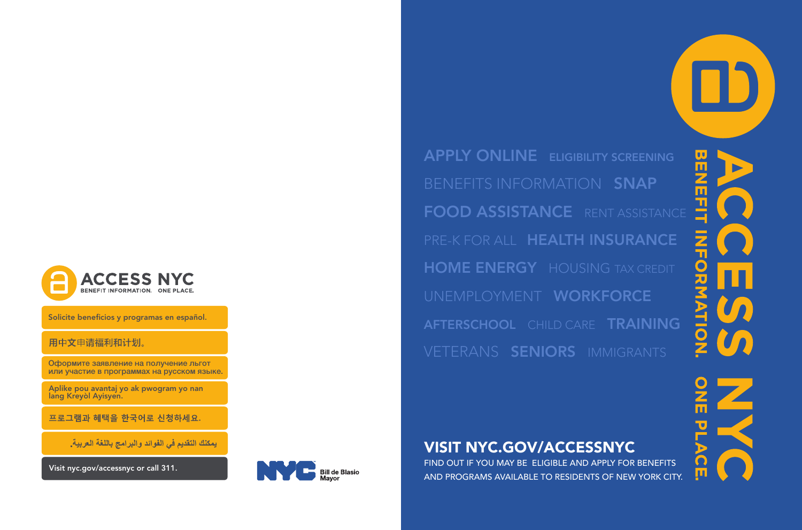

Solicite beneficios y programas en español.

# 用中文申请福利和计划。

Оформите заявление на получение льгот или участие в программах на русском языке.

Aplike pou avantaj yo ak pwogram yo nan lang Kreyòl Ayisyen.

프로그램과 혜택을 한국어로 신청하세요.

يمكنك التقديم في الفوائد والبرامج باللغة العربية.

Visit nyc.gov/accessnyc or call 311.



# VISIT NYC.GOV/ACCESSNYC

FIND OUT IF YOU MAY BE ELIGIBLE AND APPLY FOR BENEFITS AND PROGRAMS AVAILABLE TO RESIDENTS OF NEW YORK CITY.